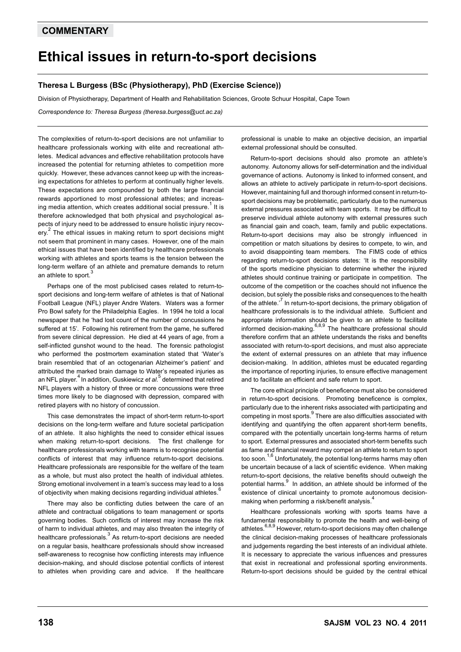## **COMMENTARY**

## **Ethical issues in return-to-sport decisions**

## **Theresa L Burgess (BSc (Physiotherapy), PhD (Exercise Science))**

Division of Physiotherapy, Department of Health and Rehabilitation Sciences, Groote Schuur Hospital, Cape Town

*Correspondence to: Theresa Burgess (theresa.burgess@uct.ac.za)*

The complexities of return-to-sport decisions are not unfamiliar to healthcare professionals working with elite and recreational athletes. Medical advances and effective rehabilitation protocols have increased the potential for returning athletes to competition more quickly. However, these advances cannot keep up with the increasing expectations for athletes to perform at continually higher levels. These expectations are compounded by both the large financial rewards apportioned to most professional athletes; and increasing media attention, which creates additional social pressure.<sup>1</sup> It is therefore acknowledged that both physical and psychological aspects of injury need to be addressed to ensure holistic injury recovery.<sup>2</sup> The ethical issues in making return to sport decisions might not seem that prominent in many cases. However, one of the main ethical issues that have been identified by healthcare professionals working with athletes and sports teams is the tension between the long-term welfare of an athlete and premature demands to return an athlete to sport.

Perhaps one of the most publicised cases related to return-tosport decisions and long-term welfare of athletes is that of National Football League (NFL) player Andre Waters. Waters was a former Pro Bowl safety for the Philadelphia Eagles. In 1994 he told a local newspaper that he 'had lost count of the number of concussions he suffered at 15'. Following his retirement from the game, he suffered from severe clinical depression. He died at 44 years of age, from a self-inflicted gunshot wound to the head. The forensic pathologist who performed the postmortem examination stated that 'Water's brain resembled that of an octogenarian Alzheimer's patient' and attributed the marked brain damage to Water's repeated injuries as an NFL player.<sup>4</sup> In addition, Guskiewicz *et al*.<sup>5</sup> determined that retired NFL players with a history of three or more concussions were three times more likely to be diagnosed with depression, compared with retired players with no history of concussion.

This case demonstrates the impact of short-term return-to-sport decisions on the long-term welfare and future societal participation of an athlete. It also highlights the need to consider ethical issues when making return-to-sport decisions. The first challenge for healthcare professionals working with teams is to recognise potential conflicts of interest that may influence return-to-sport decisions. Healthcare professionals are responsible for the welfare of the team as a whole, but must also protect the health of individual athletes. Strong emotional involvement in a team's success may lead to a loss of objectivity when making decisions regarding individual athletes.

There may also be conflicting duties between the care of an athlete and contractual obligations to team management or sports governing bodies. Such conflicts of interest may increase the risk of harm to individual athletes, and may also threaten the integrity of healthcare professionals.<sup>3</sup> As return-to-sport decisions are needed on a regular basis, healthcare professionals should show increased self-awareness to recognise how conflicting interests may influence decision-making, and should disclose potential conflicts of interest to athletes when providing care and advice. If the healthcare

professional is unable to make an objective decision, an impartial external professional should be consulted.

Return-to-sport decisions should also promote an athlete's autonomy. Autonomy allows for self-determination and the individual governance of actions. Autonomy is linked to informed consent, and allows an athlete to actively participate in return-to-sport decisions. However, maintaining full and thorough informed consent in return-tosport decisions may be problematic, particularly due to the numerous external pressures associated with team sports. It may be difficult to preserve individual athlete autonomy with external pressures such as financial gain and coach, team, family and public expectations. Return-to-sport decisions may also be strongly influenced in competition or match situations by desires to compete, to win, and to avoid disappointing team members. The FIMS code of ethics regarding return-to-sport decisions states: 'It is the responsibility of the sports medicine physician to determine whether the injured athletes should continue training or participate in competition. The outcome of the competition or the coaches should not influence the decision, but solely the possible risks and consequences to the health of the athlete.<sup>7</sup> In return-to-sport decisions, the primary obligation of healthcare professionals is to the individual athlete. Sufficient and appropriate information should be given to an athlete to facilitate informed decision-making.<sup>6,8,9</sup> The healthcare professional should therefore confirm that an athlete understands the risks and benefits associated with return-to-sport decisions, and must also appreciate the extent of external pressures on an athlete that may influence decision-making. In addition, athletes must be educated regarding the importance of reporting injuries, to ensure effective management and to facilitate an efficient and safe return to sport.

The core ethical principle of beneficence must also be considered in return-to-sport decisions. Promoting beneficence is complex, particularly due to the inherent risks associated with participating and competing in most sports.<sup>9</sup> There are also difficulties associated with identifying and quantifying the often apparent short-term benefits, compared with the potentially uncertain long-terms harms of return to sport. External pressures and associated short-term benefits such as fame and financial reward may compel an athlete to return to sport too soon.<sup>1,6</sup> Unfortunately, the potential long-terms harms may often be uncertain because of a lack of scientific evidence. When making return-to-sport decisions, the relative benefits should outweigh the potential harms.<sup>9</sup> In addition, an athlete should be informed of the existence of clinical uncertainty to promote autonomous decisionmaking when performing a risk/benefit analysis.

Healthcare professionals working with sports teams have a fundamental responsibility to promote the health and well-being of athletes.<sup>6,8,9</sup> However, return-to-sport decisions may often challenge the clinical decision-making processes of healthcare professionals and judgements regarding the best interests of an individual athlete. It is necessary to appreciate the various influences and pressures that exist in recreational and professional sporting environments. Return-to-sport decisions should be guided by the central ethical